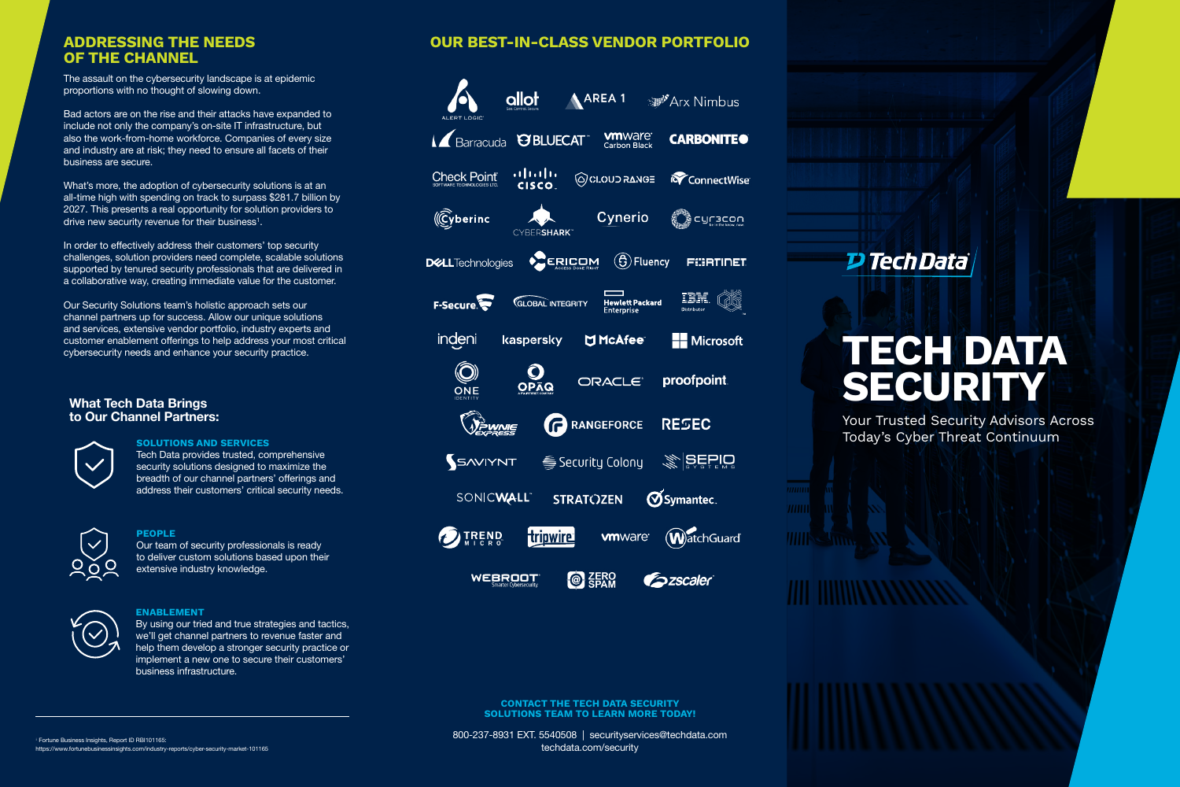# **TECH DATA SECURITY**

Your Trusted Security Advisors Across Today's Cyber Threat Continuum

### **ADDRESSING THE NEEDS OUR BEST-IN-CLASS VENDOR PORTFOLIO**

allot A AREA 1 <sup>"</sup>Arx Nimbus ALERT LOGIC **MI**Ware<sup>®</sup><br>Carbon Black **IZ** Barracuda **@BLUECAT CARBONITEO**  $\mathbf{u}$  and  $\mathbf{u}$ **Check Point** GOLOUD RANGE **K**ConnectWise **CISCO**  $(\widehat{C}$ yberinc **Cynerio** ֱֲךֱָ c∩Cacou CYBERSHARK<sup>-</sup>  $\mathcal{E}(\mathbf{\hat{G}})$  Fluency **CERICOM FURTIDET DELL**Technologies Q IBM. F-Secure **GLOBAL INTEGRITY** Hewlett Packard indeni kaspersky M McAfee<sup>®</sup> **H** Microsoft  $\circledcirc$  $O<sub>ORQ</sub>$ ORACLE<sup>®</sup> proofpoint. ONE **VEWNIE PRANGEFORCE RESEC**  $\mathcal{E}$  SEPIO SAVIYNT <del></del> Security Colony **OSymantec SONICWALL STRATOZEN WatchGuard A** TREND **Hripwire vm**ware<sup>®</sup> **WEBROOT @ ZERO Escaler** 

# **OF THE CHANNEL**

**CONTACT THE TECH DATA SECURITY SOLUTIONS TEAM TO LEARN MORE TODAY!**

800-237-8931 EXT. 5540508 | [securityservices@techdata.com](mailto:securityservices%40techdata.com?subject=) [techdata.com/security](techdata.com/Security)

What's more, the adoption of cybersecurity solutions is at an all-time high with spending on track to surpass \$281.7 billion by 2027. This presents a real opportunity for solution providers to drive new security revenue for their business<sup>1</sup>.

The assault on the cybersecurity landscape is at epidemic proportions with no thought of slowing down.

Bad actors are on the rise and their attacks have expanded to include not only the company's on-site IT infrastructure, but also the work-from-home workforce. Companies of every size and industry are at risk; they need to ensure all facets of their business are secure.

In order to effectively address their customers' top security challenges, solution providers need complete, scalable solutions supported by tenured security professionals that are delivered in a collaborative way, creating immediate value for the customer.



Our Security Solutions team's holistic approach sets our channel partners up for success. Allow our unique solutions and services, extensive vendor portfolio, industry experts and customer enablement offerings to help address your most critical cybersecurity needs and enhance your security practice.

### **What Tech Data Brings to Our Channel Partners:**



### **SOLUTIONS AND SERVICES**

Tech Data provides trusted, comprehensive security solutions designed to maximize the breadth of our channel partners' offerings and address their customers' critical security needs.



### **PEOPLE**

Our team of security professionals is ready to deliver custom solutions based upon their extensive industry knowledge.



### **ENABLEMENT**

By using our tried and true strategies and tactics, we'll get channel partners to revenue faster and help them develop a stronger security practice or implement a new one to secure their customers' business infrastructure.